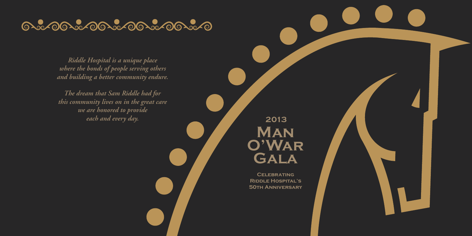## **6.200.200.200.200.200.20**

*R iddle Ho sp i ta l is a u n iq u e p la c e* where the bonds of people serving others and building a better community endure.

*Th e drea m th a t Sa m R iddle h a d fo r this community lives on in the great care we are honored to provide ea ch a n d e v e ry day.*

**MAN O ' Wa r** GALA **2 0 1 3**

 $C$  **ELEBRATING RIDDLE HOSPITAL'S 50TH ANNIVERSARY**